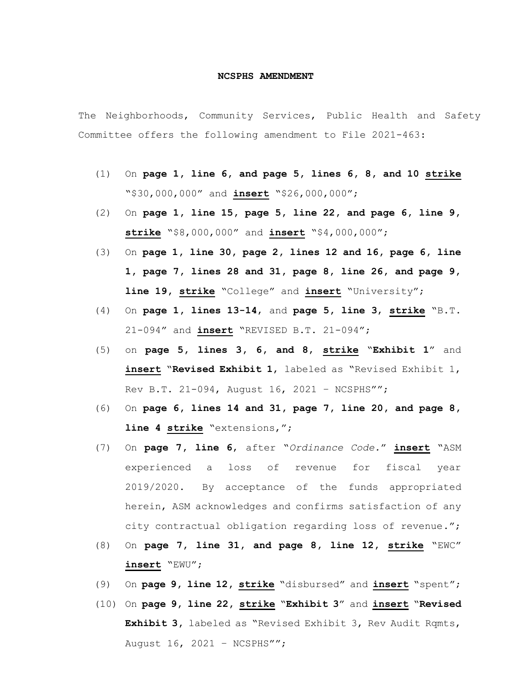## **NCSPHS AMENDMENT**

The Neighborhoods, Community Services, Public Health and Safety Committee offers the following amendment to File 2021-463:

- (1) On **page 1, line 6, and page 5, lines 6, 8, and 10 strike** "\$30,000,000" and **insert** "\$26,000,000";
- (2) On **page 1, line 15, page 5, line 22, and page 6, line 9, strike** "\$8,000,000" and **insert** "\$4,000,000";
- (3) On **page 1, line 30, page 2, lines 12 and 16, page 6, line 1, page 7, lines 28 and 31, page 8, line 26, and page 9, line 19, strike** "College" and **insert** "University";
- (4) On **page 1, lines 13-14**, and **page 5, line 3**, **strike** "B.T. 21-094" and **insert** "REVISED B.T. 21-094";
- (5) on **page 5, lines 3, 6, and 8**, **strike** "**Exhibit 1**" and **insert** "**Revised Exhibit 1**, labeled as "Revised Exhibit 1, Rev B.T. 21-094, August 16, 2021 – NCSPHS"";
- (6) On **page 6, lines 14 and 31, page 7, line 20, and page 8, line 4 strike** "extensions,";
- (7) On **page 7, line 6**, after "*Ordinance Code.*" **insert** "ASM experienced a loss of revenue for fiscal year 2019/2020. By acceptance of the funds appropriated herein, ASM acknowledges and confirms satisfaction of any city contractual obligation regarding loss of revenue.";
- (8) On **page 7, line 31, and page 8, line 12, strike** "EWC" **insert** "EWU";
- (9) On **page 9, line 12, strike** "disbursed" and **insert** "spent";
- (10) On **page 9, line 22, strike** "**Exhibit 3**" and **insert** "**Revised Exhibit 3,** labeled as "Revised Exhibit 3, Rev Audit Rqmts, August 16, 2021 – NCSPHS"";